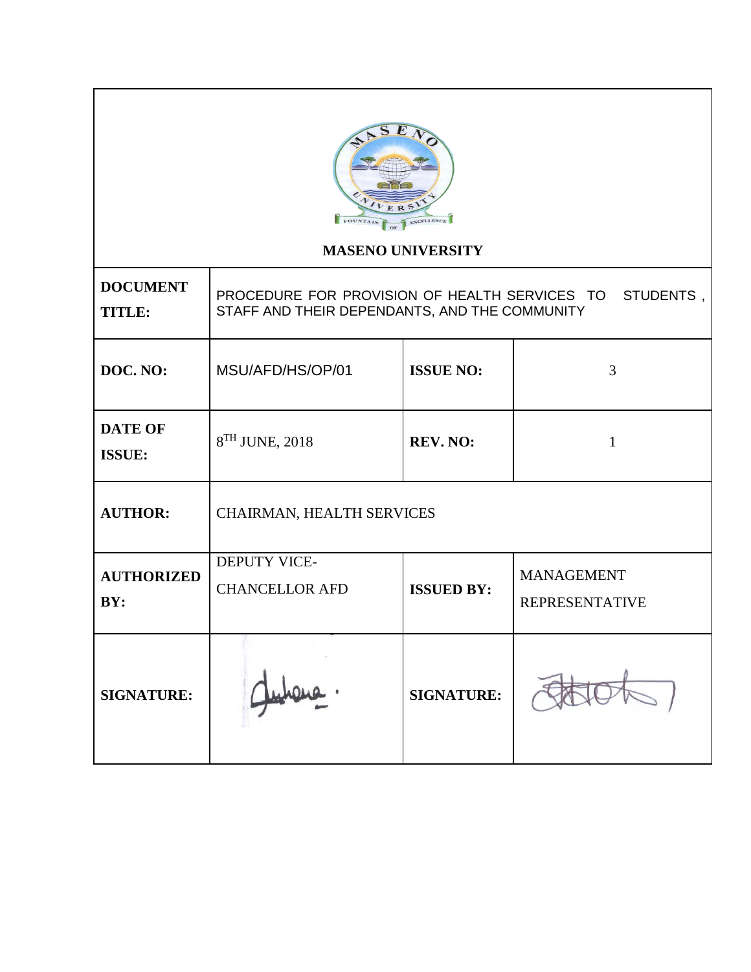

# **MASENO UNIVERSITY**

| <b>DOCUMENT</b><br><b>TITLE:</b> | PROCEDURE FOR PROVISION OF HEALTH SERVICES TO<br>STUDENTS,<br>STAFF AND THEIR DEPENDANTS, AND THE COMMUNITY |                   |                                            |  |
|----------------------------------|-------------------------------------------------------------------------------------------------------------|-------------------|--------------------------------------------|--|
| DOC. NO:                         | MSU/AFD/HS/OP/01                                                                                            | <b>ISSUE NO:</b>  | 3                                          |  |
| <b>DATE OF</b><br><b>ISSUE:</b>  | 8TH JUNE, 2018                                                                                              | <b>REV. NO:</b>   | 1                                          |  |
| <b>AUTHOR:</b>                   | CHAIRMAN, HEALTH SERVICES                                                                                   |                   |                                            |  |
| <b>AUTHORIZED</b><br>BY:         | <b>DEPUTY VICE-</b><br><b>CHANCELLOR AFD</b>                                                                | <b>ISSUED BY:</b> | <b>MANAGEMENT</b><br><b>REPRESENTATIVE</b> |  |
| <b>SIGNATURE:</b>                |                                                                                                             | <b>SIGNATURE:</b> |                                            |  |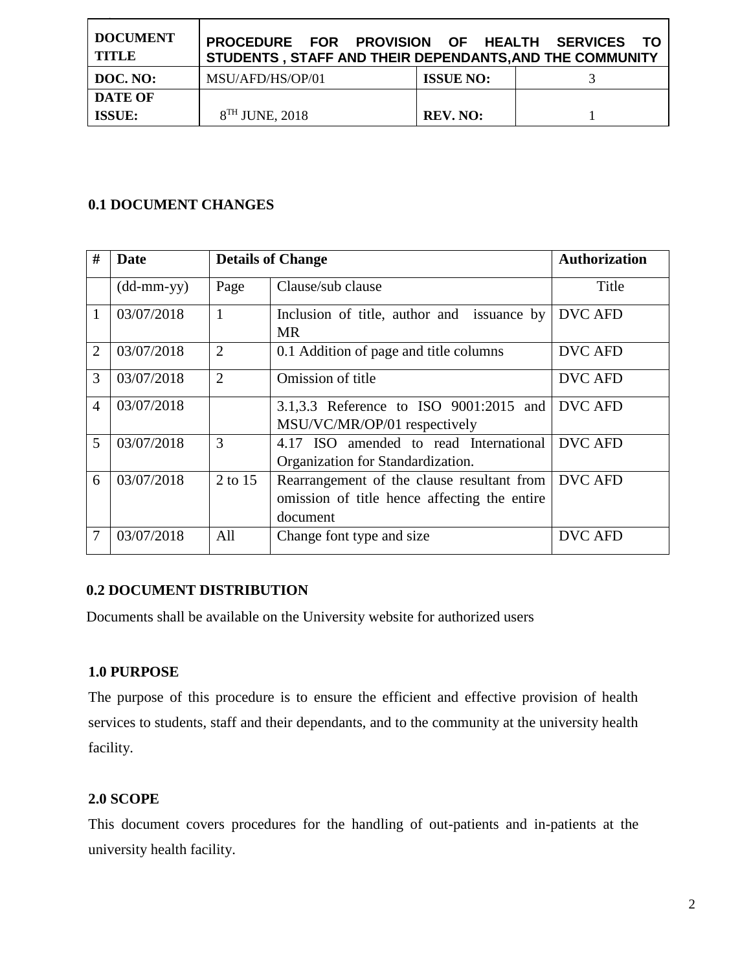| <b>DOCUMENT</b><br><b>TITLE</b> | PROCEDURE FOR PROVISION OF HEALTH SERVICES TO<br>STUDENTS, STAFF AND THEIR DEPENDANTS, AND THE COMMUNITY |                  |  |
|---------------------------------|----------------------------------------------------------------------------------------------------------|------------------|--|
| DOC. NO:                        | MSU/AFD/HS/OP/01                                                                                         | <b>ISSUE NO:</b> |  |
| <b>DATE OF</b>                  |                                                                                                          |                  |  |
| <b>ISSUE:</b>                   | $8TH$ JUNE, 2018                                                                                         | <b>REV. NO:</b>  |  |

## **0.1 DOCUMENT CHANGES**

| #              | Date                       |                | <b>Details of Change</b>                                                                               | <b>Authorization</b> |
|----------------|----------------------------|----------------|--------------------------------------------------------------------------------------------------------|----------------------|
|                | $(dd\text{-}mm\text{-}yy)$ | Page           | Clause/sub clause                                                                                      | Title                |
|                | 03/07/2018                 | 1              | Inclusion of title, author and issuance by<br><b>MR</b>                                                | DVC AFD              |
| $\overline{2}$ | 03/07/2018                 | $\overline{2}$ | 0.1 Addition of page and title columns                                                                 | DVC AFD              |
| 3              | 03/07/2018                 | $\overline{2}$ | Omission of title                                                                                      | <b>DVC AFD</b>       |
| $\overline{4}$ | 03/07/2018                 |                | 3.1,3.3 Reference to ISO 9001:2015 and<br>MSU/VC/MR/OP/01 respectively                                 | <b>DVC AFD</b>       |
| 5              | 03/07/2018                 | 3              | 4.17 ISO amended to read International<br>Organization for Standardization.                            | <b>DVC AFD</b>       |
| 6              | 03/07/2018                 | 2 to 15        | Rearrangement of the clause resultant from<br>omission of title hence affecting the entire<br>document | <b>DVC AFD</b>       |
|                | 03/07/2018                 | All            | Change font type and size                                                                              | <b>DVC AFD</b>       |

# **0.2 DOCUMENT DISTRIBUTION**

Documents shall be available on the University website for authorized users

### **1.0 PURPOSE**

The purpose of this procedure is to ensure the efficient and effective provision of health services to students, staff and their dependants, and to the community at the university health facility.

### **2.0 SCOPE**

This document covers procedures for the handling of out-patients and in-patients at the university health facility.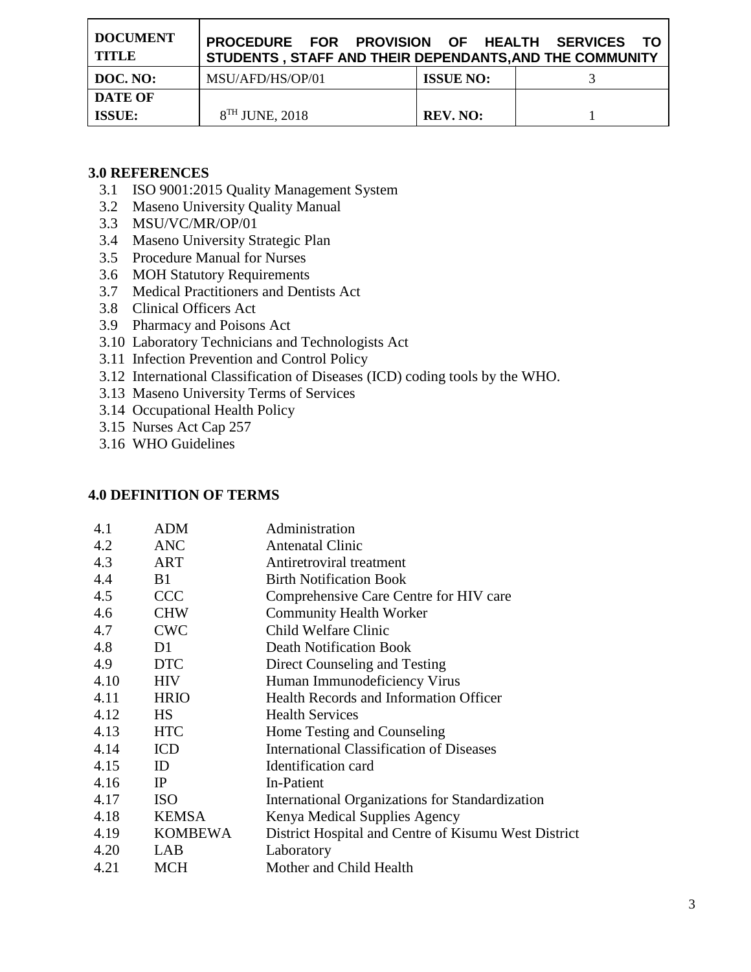| <b>DOCUMENT</b><br>TITLE | PROCEDURE FOR PROVISION OF HEALTH SERVICES TO<br>STUDENTS, STAFF AND THEIR DEPENDANTS, AND THE COMMUNITY |                  |  |
|--------------------------|----------------------------------------------------------------------------------------------------------|------------------|--|
| DOC. NO:                 | MSU/AFD/HS/OP/01                                                                                         | <b>ISSUE NO:</b> |  |
| <b>DATE OF</b>           |                                                                                                          |                  |  |
| <b>ISSUE:</b>            | $8TH$ JUNE, 2018                                                                                         | <b>REV. NO:</b>  |  |

### **3.0 REFERENCES**

- 3.1 ISO 9001:2015 Quality Management System
- 3.2 Maseno University Quality Manual
- 3.3 MSU/VC/MR/OP/01
- 3.4 Maseno University Strategic Plan
- 3.5 Procedure Manual for Nurses
- 3.6 MOH Statutory Requirements
- 3.7 Medical Practitioners and Dentists Act
- 3.8 Clinical Officers Act
- 3.9 Pharmacy and Poisons Act
- 3.10 Laboratory Technicians and Technologists Act
- 3.11 Infection Prevention and Control Policy
- 3.12 International Classification of Diseases (ICD) coding tools by the WHO.
- 3.13 Maseno University Terms of Services
- 3.14 Occupational Health Policy
- 3.15 Nurses Act Cap 257
- 3.16 WHO Guidelines

### **4.0 DEFINITION OF TERMS**

| 4.1  | <b>ADM</b>     | Administration                                       |
|------|----------------|------------------------------------------------------|
| 4.2  | ANC            | <b>Antenatal Clinic</b>                              |
| 4.3  | ART            | Antiretroviral treatment                             |
| 4.4  | <b>B</b> 1     | <b>Birth Notification Book</b>                       |
| 4.5  | <b>CCC</b>     | Comprehensive Care Centre for HIV care               |
| 4.6  | <b>CHW</b>     | <b>Community Health Worker</b>                       |
| 4.7  | <b>CWC</b>     | Child Welfare Clinic                                 |
| 4.8  | D1             | <b>Death Notification Book</b>                       |
| 4.9  | <b>DTC</b>     | Direct Counseling and Testing                        |
| 4.10 | <b>HIV</b>     | Human Immunodeficiency Virus                         |
| 4.11 | <b>HRIO</b>    | Health Records and Information Officer               |
| 4.12 | <b>HS</b>      | <b>Health Services</b>                               |
| 4.13 | <b>HTC</b>     | Home Testing and Counseling                          |
| 4.14 | <b>ICD</b>     | <b>International Classification of Diseases</b>      |
| 4.15 | ID             | Identification card                                  |
| 4.16 | IP             | In-Patient                                           |
| 4.17 | <b>ISO</b>     | International Organizations for Standardization      |
| 4.18 | <b>KEMSA</b>   | Kenya Medical Supplies Agency                        |
| 4.19 | <b>KOMBEWA</b> | District Hospital and Centre of Kisumu West District |
| 4.20 | LAB            | Laboratory                                           |
| 4.21 | <b>MCH</b>     | Mother and Child Health                              |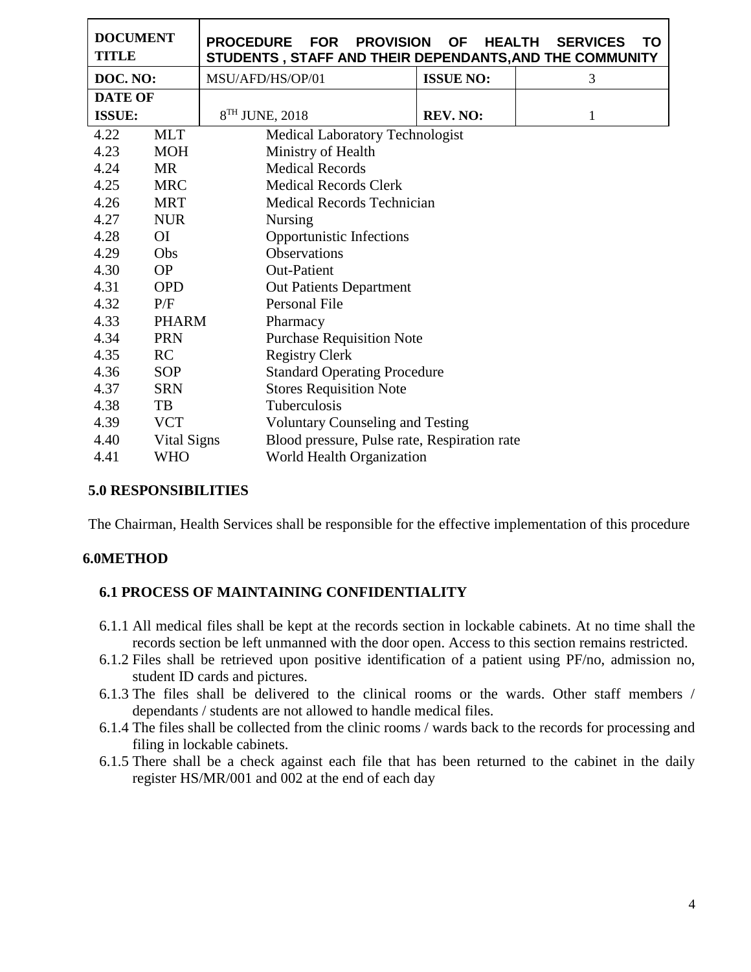| <b>DOCUMENT</b><br><b>TITLE</b> |                | <b>PROCEDURE</b><br><b>FOR PROVISION</b><br>STUDENTS, STAFF AND THEIR DEPENDANTS, AND THE COMMUNITY | <b>OF</b><br><b>HEALTH</b>                   | <b>SERVICES</b><br>ΤO |  |
|---------------------------------|----------------|-----------------------------------------------------------------------------------------------------|----------------------------------------------|-----------------------|--|
| DOC. NO:                        |                | MSU/AFD/HS/OP/01                                                                                    | <b>ISSUE NO:</b>                             | 3                     |  |
| <b>DATE OF</b>                  |                |                                                                                                     |                                              |                       |  |
| <b>ISSUE:</b>                   |                | $8TH$ JUNE, 2018                                                                                    | <b>REV. NO:</b>                              | 1                     |  |
| 4.22                            | <b>MLT</b>     | <b>Medical Laboratory Technologist</b>                                                              |                                              |                       |  |
| 4.23                            | <b>MOH</b>     | Ministry of Health                                                                                  |                                              |                       |  |
| 4.24                            | <b>MR</b>      | <b>Medical Records</b>                                                                              |                                              |                       |  |
| 4.25                            | <b>MRC</b>     | <b>Medical Records Clerk</b>                                                                        |                                              |                       |  |
| 4.26                            | <b>MRT</b>     | <b>Medical Records Technician</b>                                                                   |                                              |                       |  |
| 4.27                            | <b>NUR</b>     | <b>Nursing</b>                                                                                      |                                              |                       |  |
| 4.28                            | O <sub>I</sub> | Opportunistic Infections                                                                            |                                              |                       |  |
| 4.29                            | Obs            | Observations                                                                                        |                                              |                       |  |
| 4.30                            | <b>OP</b>      | <b>Out-Patient</b>                                                                                  |                                              |                       |  |
| 4.31                            | <b>OPD</b>     |                                                                                                     | <b>Out Patients Department</b>               |                       |  |
| 4.32                            | P/F            | Personal File                                                                                       |                                              |                       |  |
| 4.33                            | <b>PHARM</b>   | Pharmacy                                                                                            |                                              |                       |  |
| 4.34                            | <b>PRN</b>     | <b>Purchase Requisition Note</b>                                                                    |                                              |                       |  |
| 4.35                            | RC             | <b>Registry Clerk</b>                                                                               |                                              |                       |  |
| 4.36                            | <b>SOP</b>     |                                                                                                     | <b>Standard Operating Procedure</b>          |                       |  |
| 4.37                            | <b>SRN</b>     |                                                                                                     | <b>Stores Requisition Note</b>               |                       |  |
| 4.38                            | TB             | Tuberculosis                                                                                        |                                              |                       |  |
| 4.39                            | <b>VCT</b>     | <b>Voluntary Counseling and Testing</b>                                                             |                                              |                       |  |
| 4.40                            | Vital Signs    |                                                                                                     | Blood pressure, Pulse rate, Respiration rate |                       |  |
| 4.41                            | <b>WHO</b>     |                                                                                                     | <b>World Health Organization</b>             |                       |  |

#### **5.0 RESPONSIBILITIES**

The Chairman, Health Services shall be responsible for the effective implementation of this procedure

#### **6.0METHOD**

#### **6.1 PROCESS OF MAINTAINING CONFIDENTIALITY**

- 6.1.1 All medical files shall be kept at the records section in lockable cabinets. At no time shall the records section be left unmanned with the door open. Access to this section remains restricted.
- 6.1.2 Files shall be retrieved upon positive identification of a patient using PF/no, admission no, student ID cards and pictures.
- 6.1.3 The files shall be delivered to the clinical rooms or the wards. Other staff members / dependants / students are not allowed to handle medical files.
- 6.1.4 The files shall be collected from the clinic rooms / wards back to the records for processing and filing in lockable cabinets.
- 6.1.5 There shall be a check against each file that has been returned to the cabinet in the daily register HS/MR/001 and 002 at the end of each day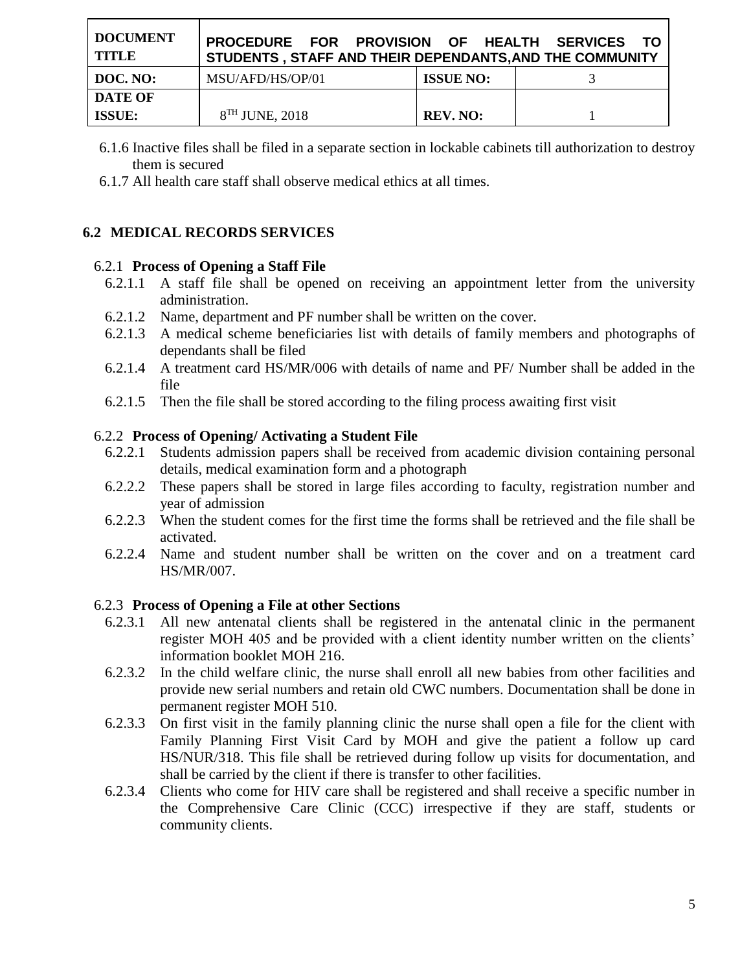| <b>DOCUMENT</b><br>TITLE | PROCEDURE FOR PROVISION OF HEALTH SERVICES TO<br>STUDENTS, STAFF AND THEIR DEPENDANTS, AND THE COMMUNITY |                  |  |
|--------------------------|----------------------------------------------------------------------------------------------------------|------------------|--|
| DOC. NO:                 | MSU/AFD/HS/OP/01                                                                                         | <b>ISSUE NO:</b> |  |
| <b>DATE OF</b>           |                                                                                                          |                  |  |
| <b>ISSUE:</b>            | $8TH$ JUNE, 2018                                                                                         | <b>REV. NO:</b>  |  |

- 6.1.6 Inactive files shall be filed in a separate section in lockable cabinets till authorization to destroy them is secured
- 6.1.7 All health care staff shall observe medical ethics at all times.

## **6.2 MEDICAL RECORDS SERVICES**

#### 6.2.1 **Process of Opening a Staff File**

- 6.2.1.1 A staff file shall be opened on receiving an appointment letter from the university administration.
- 6.2.1.2 Name, department and PF number shall be written on the cover.
- 6.2.1.3 A medical scheme beneficiaries list with details of family members and photographs of dependants shall be filed
- 6.2.1.4 A treatment card HS/MR/006 with details of name and PF/ Number shall be added in the file
- 6.2.1.5 Then the file shall be stored according to the filing process awaiting first visit

#### 6.2.2 **Process of Opening/ Activating a Student File**

- 6.2.2.1 Students admission papers shall be received from academic division containing personal details, medical examination form and a photograph
- 6.2.2.2 These papers shall be stored in large files according to faculty, registration number and year of admission
- 6.2.2.3 When the student comes for the first time the forms shall be retrieved and the file shall be activated.
- 6.2.2.4 Name and student number shall be written on the cover and on a treatment card HS/MR/007.

#### 6.2.3 **Process of Opening a File at other Sections**

- 6.2.3.1 All new antenatal clients shall be registered in the antenatal clinic in the permanent register MOH 405 and be provided with a client identity number written on the clients' information booklet MOH 216.
- 6.2.3.2 In the child welfare clinic, the nurse shall enroll all new babies from other facilities and provide new serial numbers and retain old CWC numbers. Documentation shall be done in permanent register MOH 510.
- 6.2.3.3 On first visit in the family planning clinic the nurse shall open a file for the client with Family Planning First Visit Card by MOH and give the patient a follow up card HS/NUR/318. This file shall be retrieved during follow up visits for documentation, and shall be carried by the client if there is transfer to other facilities.
- 6.2.3.4 Clients who come for HIV care shall be registered and shall receive a specific number in the Comprehensive Care Clinic (CCC) irrespective if they are staff, students or community clients.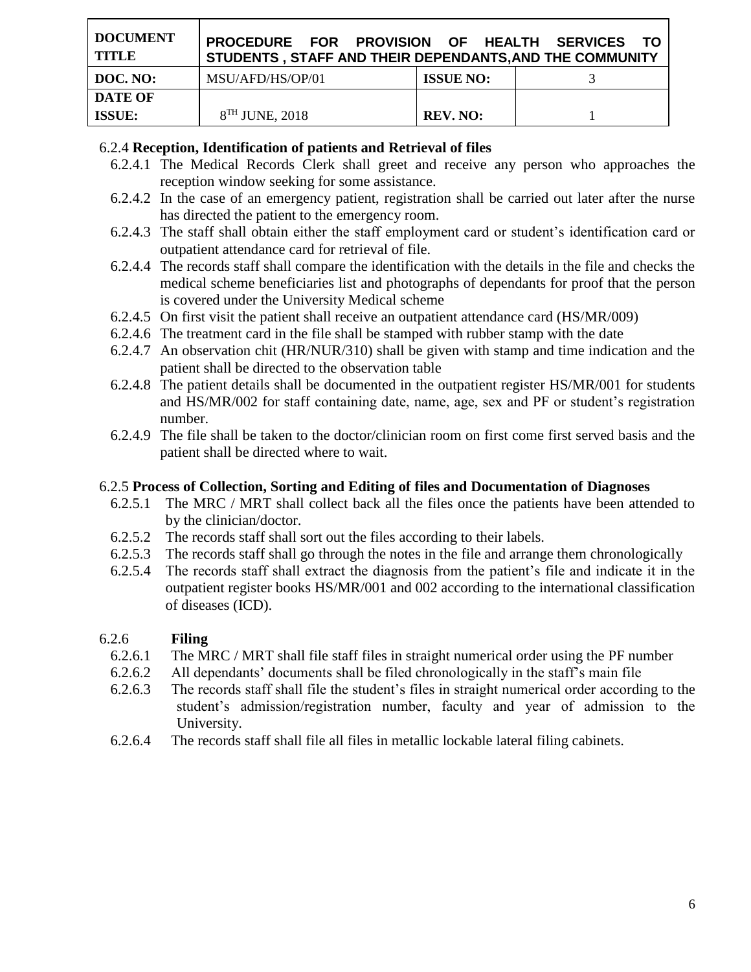| <b>DOCUMENT</b><br><b>TITLE</b> | PROCEDURE FOR PROVISION OF HEALTH SERVICES TO<br>STUDENTS, STAFF AND THEIR DEPENDANTS, AND THE COMMUNITY |                  |  |
|---------------------------------|----------------------------------------------------------------------------------------------------------|------------------|--|
| DOC. NO:                        | MSU/AFD/HS/OP/01                                                                                         | <b>ISSUE NO:</b> |  |
| <b>DATE OF</b>                  |                                                                                                          |                  |  |
| <b>ISSUE:</b>                   | 8 <sup>TH</sup> JUNE, 2018                                                                               | <b>REV. NO:</b>  |  |

## 6.2.4 **Reception, Identification of patients and Retrieval of files**

- 6.2.4.1 The Medical Records Clerk shall greet and receive any person who approaches the reception window seeking for some assistance.
- 6.2.4.2 In the case of an emergency patient, registration shall be carried out later after the nurse has directed the patient to the emergency room.
- 6.2.4.3 The staff shall obtain either the staff employment card or student's identification card or outpatient attendance card for retrieval of file.
- 6.2.4.4 The records staff shall compare the identification with the details in the file and checks the medical scheme beneficiaries list and photographs of dependants for proof that the person is covered under the University Medical scheme
- 6.2.4.5 On first visit the patient shall receive an outpatient attendance card (HS/MR/009)
- 6.2.4.6 The treatment card in the file shall be stamped with rubber stamp with the date
- 6.2.4.7 An observation chit (HR/NUR/310) shall be given with stamp and time indication and the patient shall be directed to the observation table
- 6.2.4.8 The patient details shall be documented in the outpatient register HS/MR/001 for students and HS/MR/002 for staff containing date, name, age, sex and PF or student's registration number.
- 6.2.4.9 The file shall be taken to the doctor/clinician room on first come first served basis and the patient shall be directed where to wait.

### 6.2.5 **Process of Collection, Sorting and Editing of files and Documentation of Diagnoses**

- 6.2.5.1 The MRC / MRT shall collect back all the files once the patients have been attended to by the clinician/doctor.
- 6.2.5.2 The records staff shall sort out the files according to their labels.
- 6.2.5.3 The records staff shall go through the notes in the file and arrange them chronologically
- 6.2.5.4 The records staff shall extract the diagnosis from the patient's file and indicate it in the outpatient register books HS/MR/001 and 002 according to the international classification of diseases (ICD).

# 6.2.6 **Filing**

- 6.2.6.1 The MRC / MRT shall file staff files in straight numerical order using the PF number
- 6.2.6.2 All dependants' documents shall be filed chronologically in the staff's main file
- 6.2.6.3 The records staff shall file the student's files in straight numerical order according to the student's admission/registration number, faculty and year of admission to the University.
- 6.2.6.4 The records staff shall file all files in metallic lockable lateral filing cabinets.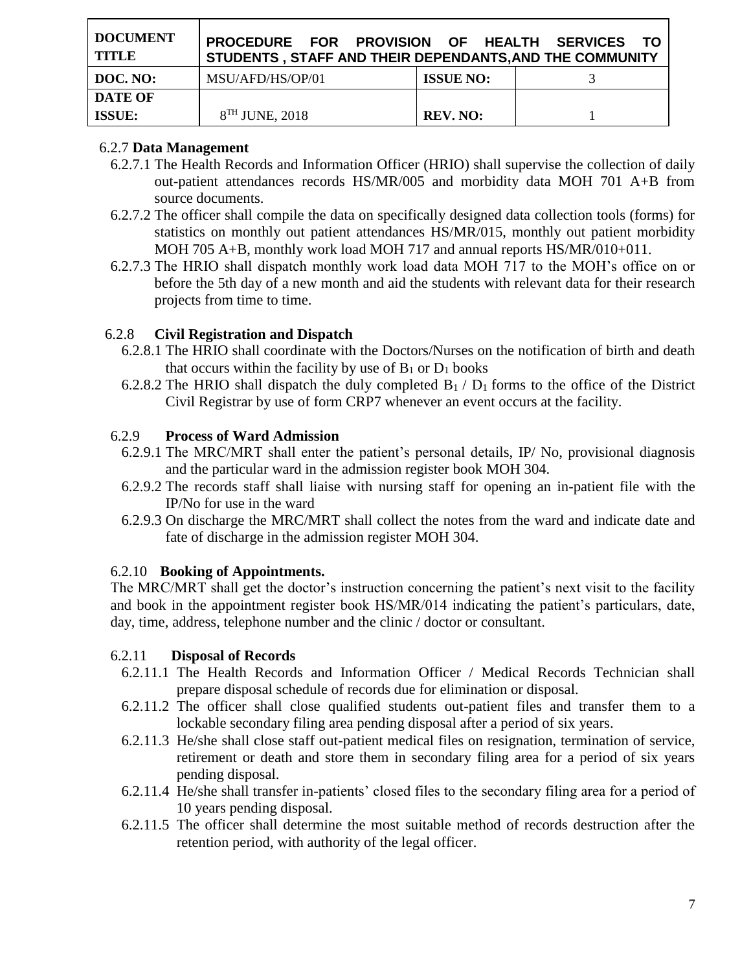| <b>DOCUMENT</b><br><b>TITLE</b> | PROCEDURE FOR PROVISION OF HEALTH SERVICES<br>STUDENTS, STAFF AND THEIR DEPENDANTS, AND THE COMMUNITY |                  | - TO |
|---------------------------------|-------------------------------------------------------------------------------------------------------|------------------|------|
| DOC. NO:                        | MSU/AFD/HS/OP/01                                                                                      | <b>ISSUE NO:</b> |      |
| <b>DATE OF</b>                  |                                                                                                       |                  |      |
| <b>ISSUE:</b>                   | $8TH$ JUNE, 2018                                                                                      | <b>REV. NO:</b>  |      |

## 6.2.7 **Data Management**

- 6.2.7.1 The Health Records and Information Officer (HRIO) shall supervise the collection of daily out-patient attendances records HS/MR/005 and morbidity data MOH 701 A+B from source documents.
- 6.2.7.2 The officer shall compile the data on specifically designed data collection tools (forms) for statistics on monthly out patient attendances HS/MR/015, monthly out patient morbidity MOH 705 A+B, monthly work load MOH 717 and annual reports HS/MR/010+011.
- 6.2.7.3 The HRIO shall dispatch monthly work load data MOH 717 to the MOH's office on or before the 5th day of a new month and aid the students with relevant data for their research projects from time to time.

# 6.2.8 **Civil Registration and Dispatch**

- 6.2.8.1 The HRIO shall coordinate with the Doctors/Nurses on the notification of birth and death that occurs within the facility by use of  $B_1$  or  $D_1$  books
- 6.2.8.2 The HRIO shall dispatch the duly completed  $B_1 / D_1$  forms to the office of the District Civil Registrar by use of form CRP7 whenever an event occurs at the facility.

## 6.2.9 **Process of Ward Admission**

- 6.2.9.1 The MRC/MRT shall enter the patient's personal details, IP/ No, provisional diagnosis and the particular ward in the admission register book MOH 304.
- 6.2.9.2 The records staff shall liaise with nursing staff for opening an in-patient file with the IP/No for use in the ward
- 6.2.9.3 On discharge the MRC/MRT shall collect the notes from the ward and indicate date and fate of discharge in the admission register MOH 304.

# 6.2.10 **Booking of Appointments.**

The MRC/MRT shall get the doctor's instruction concerning the patient's next visit to the facility and book in the appointment register book HS/MR/014 indicating the patient's particulars, date, day, time, address, telephone number and the clinic / doctor or consultant.

### 6.2.11 **Disposal of Records**

- 6.2.11.1 The Health Records and Information Officer / Medical Records Technician shall prepare disposal schedule of records due for elimination or disposal.
- 6.2.11.2 The officer shall close qualified students out-patient files and transfer them to a lockable secondary filing area pending disposal after a period of six years.
- 6.2.11.3 He/she shall close staff out-patient medical files on resignation, termination of service, retirement or death and store them in secondary filing area for a period of six years pending disposal.
- 6.2.11.4 He/she shall transfer in-patients' closed files to the secondary filing area for a period of 10 years pending disposal.
- 6.2.11.5 The officer shall determine the most suitable method of records destruction after the retention period, with authority of the legal officer.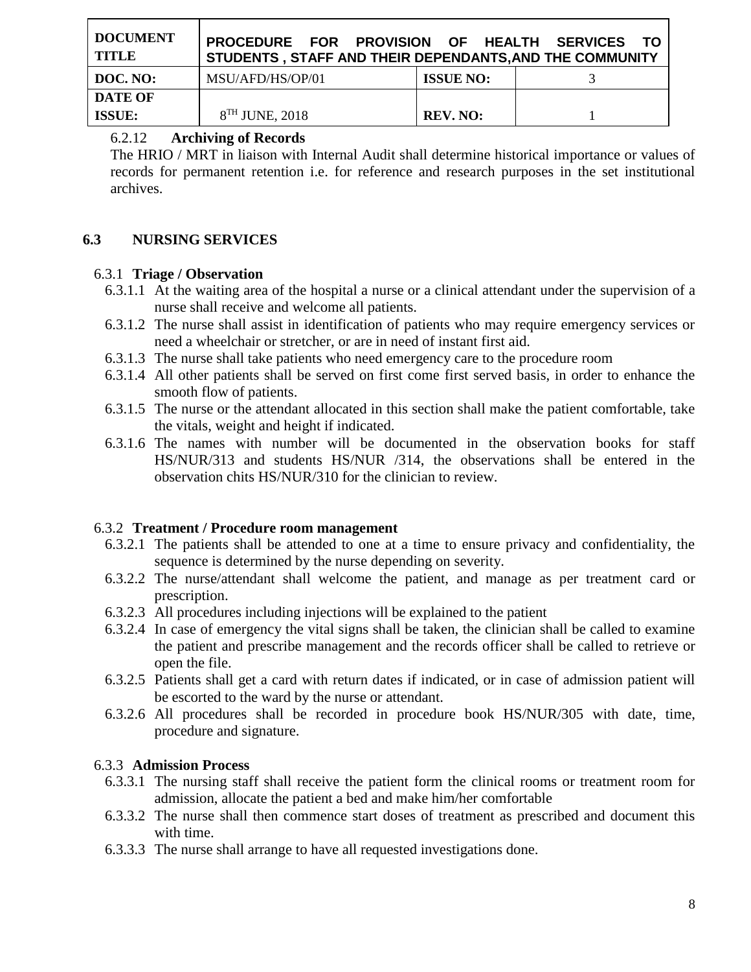| <b>DOCUMENT</b><br><b>TITLE</b> | PROCEDURE FOR PROVISION OF HEALTH SERVICES<br>STUDENTS, STAFF AND THEIR DEPENDANTS, AND THE COMMUNITY |                  | - то |
|---------------------------------|-------------------------------------------------------------------------------------------------------|------------------|------|
| DOC. NO:                        | MSU/AFD/HS/OP/01                                                                                      | <b>ISSUE NO:</b> |      |
| <b>DATE OF</b>                  |                                                                                                       |                  |      |
| <b>ISSUE:</b>                   | $8TH$ JUNE, 2018                                                                                      | <b>REV. NO:</b>  |      |

### 6.2.12 **Archiving of Records**

The HRIO / MRT in liaison with Internal Audit shall determine historical importance or values of records for permanent retention i.e. for reference and research purposes in the set institutional archives.

### **6.3 NURSING SERVICES**

#### 6.3.1 **Triage / Observation**

- 6.3.1.1 At the waiting area of the hospital a nurse or a clinical attendant under the supervision of a nurse shall receive and welcome all patients.
- 6.3.1.2 The nurse shall assist in identification of patients who may require emergency services or need a wheelchair or stretcher, or are in need of instant first aid.
- 6.3.1.3 The nurse shall take patients who need emergency care to the procedure room
- 6.3.1.4 All other patients shall be served on first come first served basis, in order to enhance the smooth flow of patients.
- 6.3.1.5 The nurse or the attendant allocated in this section shall make the patient comfortable, take the vitals, weight and height if indicated.
- 6.3.1.6 The names with number will be documented in the observation books for staff HS/NUR/313 and students HS/NUR /314, the observations shall be entered in the observation chits HS/NUR/310 for the clinician to review.

#### 6.3.2 **Treatment / Procedure room management**

- 6.3.2.1 The patients shall be attended to one at a time to ensure privacy and confidentiality, the sequence is determined by the nurse depending on severity.
- 6.3.2.2 The nurse/attendant shall welcome the patient, and manage as per treatment card or prescription.
- 6.3.2.3 All procedures including injections will be explained to the patient
- 6.3.2.4 In case of emergency the vital signs shall be taken, the clinician shall be called to examine the patient and prescribe management and the records officer shall be called to retrieve or open the file.
- 6.3.2.5 Patients shall get a card with return dates if indicated, or in case of admission patient will be escorted to the ward by the nurse or attendant.
- 6.3.2.6 All procedures shall be recorded in procedure book HS/NUR/305 with date, time, procedure and signature.

### 6.3.3 **Admission Process**

- 6.3.3.1 The nursing staff shall receive the patient form the clinical rooms or treatment room for admission, allocate the patient a bed and make him/her comfortable
- 6.3.3.2 The nurse shall then commence start doses of treatment as prescribed and document this with time.
- 6.3.3.3 The nurse shall arrange to have all requested investigations done.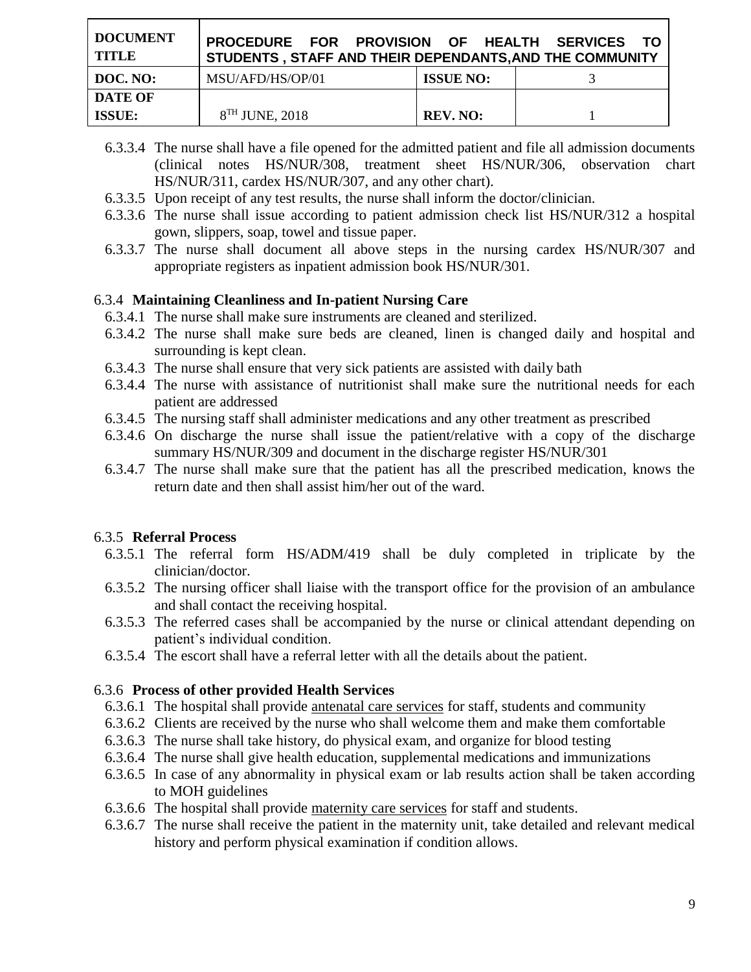| <b>DOCUMENT</b><br><b>TITLE</b> | PROCEDURE FOR PROVISION OF HEALTH SERVICES TO<br>STUDENTS, STAFF AND THEIR DEPENDANTS, AND THE COMMUNITY |                  |  |
|---------------------------------|----------------------------------------------------------------------------------------------------------|------------------|--|
| DOC. NO:                        | MSU/AFD/HS/OP/01                                                                                         | <b>ISSUE NO:</b> |  |
| <b>DATE OF</b>                  |                                                                                                          |                  |  |
| <b>ISSUE:</b>                   | 8 <sup>TH</sup> JUNE, 2018                                                                               | <b>REV. NO:</b>  |  |

- 6.3.3.4 The nurse shall have a file opened for the admitted patient and file all admission documents (clinical notes HS/NUR/308, treatment sheet HS/NUR/306, observation chart HS/NUR/311, cardex HS/NUR/307, and any other chart).
- 6.3.3.5 Upon receipt of any test results, the nurse shall inform the doctor/clinician.
- 6.3.3.6 The nurse shall issue according to patient admission check list HS/NUR/312 a hospital gown, slippers, soap, towel and tissue paper.
- 6.3.3.7 The nurse shall document all above steps in the nursing cardex HS/NUR/307 and appropriate registers as inpatient admission book HS/NUR/301.

### 6.3.4 **Maintaining Cleanliness and In-patient Nursing Care**

- 6.3.4.1 The nurse shall make sure instruments are cleaned and sterilized.
- 6.3.4.2 The nurse shall make sure beds are cleaned, linen is changed daily and hospital and surrounding is kept clean.
- 6.3.4.3 The nurse shall ensure that very sick patients are assisted with daily bath
- 6.3.4.4 The nurse with assistance of nutritionist shall make sure the nutritional needs for each patient are addressed
- 6.3.4.5 The nursing staff shall administer medications and any other treatment as prescribed
- 6.3.4.6 On discharge the nurse shall issue the patient/relative with a copy of the discharge summary HS/NUR/309 and document in the discharge register HS/NUR/301
- 6.3.4.7 The nurse shall make sure that the patient has all the prescribed medication, knows the return date and then shall assist him/her out of the ward.

### 6.3.5 **Referral Process**

- 6.3.5.1 The referral form HS/ADM/419 shall be duly completed in triplicate by the clinician/doctor.
- 6.3.5.2 The nursing officer shall liaise with the transport office for the provision of an ambulance and shall contact the receiving hospital.
- 6.3.5.3 The referred cases shall be accompanied by the nurse or clinical attendant depending on patient's individual condition.
- 6.3.5.4 The escort shall have a referral letter with all the details about the patient.

### 6.3.6 **Process of other provided Health Services**

- 6.3.6.1 The hospital shall provide antenatal care services for staff, students and community
- 6.3.6.2 Clients are received by the nurse who shall welcome them and make them comfortable
- 6.3.6.3 The nurse shall take history, do physical exam, and organize for blood testing
- 6.3.6.4 The nurse shall give health education, supplemental medications and immunizations
- 6.3.6.5 In case of any abnormality in physical exam or lab results action shall be taken according to MOH guidelines
- 6.3.6.6 The hospital shall provide maternity care services for staff and students.
- 6.3.6.7 The nurse shall receive the patient in the maternity unit, take detailed and relevant medical history and perform physical examination if condition allows.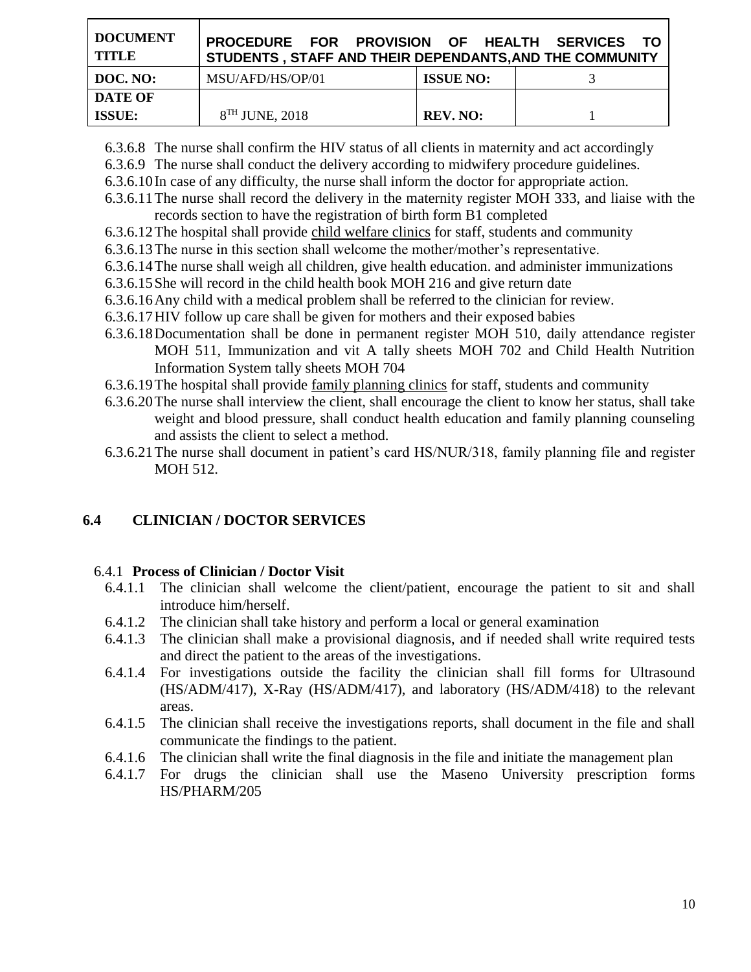| <b>DOCUMENT</b><br><b>TITLE</b> | PROCEDURE FOR PROVISION OF HEALTH SERVICES TO<br>STUDENTS, STAFF AND THEIR DEPENDANTS, AND THE COMMUNITY |                  |  |
|---------------------------------|----------------------------------------------------------------------------------------------------------|------------------|--|
| DOC. NO:                        | MSU/AFD/HS/OP/01                                                                                         | <b>ISSUE NO:</b> |  |
| <b>DATE OF</b>                  |                                                                                                          |                  |  |
| <b>ISSUE:</b>                   | $8TH$ JUNE, 2018                                                                                         | <b>REV. NO:</b>  |  |

6.3.6.8 The nurse shall confirm the HIV status of all clients in maternity and act accordingly

6.3.6.9 The nurse shall conduct the delivery according to midwifery procedure guidelines.

6.3.6.10In case of any difficulty, the nurse shall inform the doctor for appropriate action.

- 6.3.6.11The nurse shall record the delivery in the maternity register MOH 333, and liaise with the records section to have the registration of birth form B1 completed
- 6.3.6.12The hospital shall provide child welfare clinics for staff, students and community
- 6.3.6.13The nurse in this section shall welcome the mother/mother's representative.
- 6.3.6.14The nurse shall weigh all children, give health education. and administer immunizations
- 6.3.6.15She will record in the child health book MOH 216 and give return date
- 6.3.6.16Any child with a medical problem shall be referred to the clinician for review.
- 6.3.6.17HIV follow up care shall be given for mothers and their exposed babies
- 6.3.6.18Documentation shall be done in permanent register MOH 510, daily attendance register MOH 511, Immunization and vit A tally sheets MOH 702 and Child Health Nutrition Information System tally sheets MOH 704
- 6.3.6.19The hospital shall provide family planning clinics for staff, students and community
- 6.3.6.20The nurse shall interview the client, shall encourage the client to know her status, shall take weight and blood pressure, shall conduct health education and family planning counseling and assists the client to select a method.
- 6.3.6.21The nurse shall document in patient's card HS/NUR/318, family planning file and register MOH 512.

# **6.4 CLINICIAN / DOCTOR SERVICES**

# 6.4.1 **Process of Clinician / Doctor Visit**

- 6.4.1.1 The clinician shall welcome the client/patient, encourage the patient to sit and shall introduce him/herself.
- 6.4.1.2 The clinician shall take history and perform a local or general examination
- 6.4.1.3 The clinician shall make a provisional diagnosis, and if needed shall write required tests and direct the patient to the areas of the investigations.
- 6.4.1.4 For investigations outside the facility the clinician shall fill forms for Ultrasound (HS/ADM/417), X-Ray (HS/ADM/417), and laboratory (HS/ADM/418) to the relevant areas.
- 6.4.1.5 The clinician shall receive the investigations reports, shall document in the file and shall communicate the findings to the patient.
- 6.4.1.6 The clinician shall write the final diagnosis in the file and initiate the management plan
- 6.4.1.7 For drugs the clinician shall use the Maseno University prescription forms HS/PHARM/205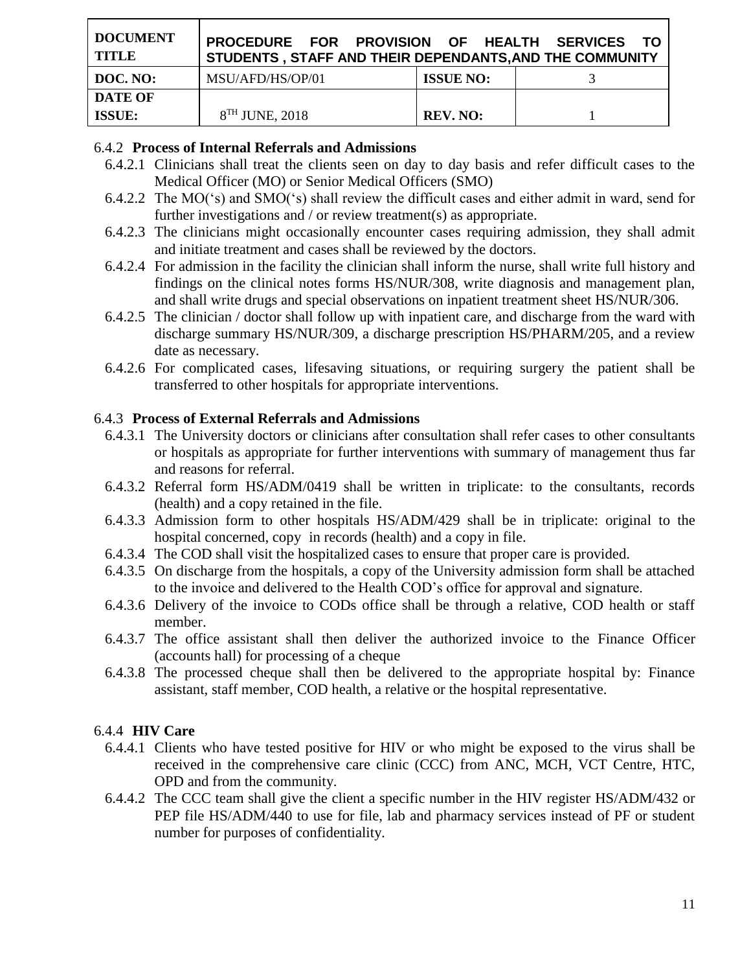| <b>DOCUMENT</b><br><b>TITLE</b> | PROCEDURE FOR PROVISION OF HEALTH SERVICES TO<br>STUDENTS, STAFF AND THEIR DEPENDANTS, AND THE COMMUNITY |                  |  |
|---------------------------------|----------------------------------------------------------------------------------------------------------|------------------|--|
| DOC. NO:                        | MSU/AFD/HS/OP/01                                                                                         | <b>ISSUE NO:</b> |  |
| <b>DATE OF</b>                  |                                                                                                          |                  |  |
| <b>ISSUE:</b>                   | 8 <sup>TH</sup> JUNE, 2018                                                                               | <b>REV. NO:</b>  |  |

#### 6.4.2 **Process of Internal Referrals and Admissions**

- 6.4.2.1 Clinicians shall treat the clients seen on day to day basis and refer difficult cases to the Medical Officer (MO) or Senior Medical Officers (SMO)
- 6.4.2.2 The MO('s) and SMO('s) shall review the difficult cases and either admit in ward, send for further investigations and / or review treatment(s) as appropriate.
- 6.4.2.3 The clinicians might occasionally encounter cases requiring admission, they shall admit and initiate treatment and cases shall be reviewed by the doctors.
- 6.4.2.4 For admission in the facility the clinician shall inform the nurse, shall write full history and findings on the clinical notes forms HS/NUR/308, write diagnosis and management plan, and shall write drugs and special observations on inpatient treatment sheet HS/NUR/306.
- 6.4.2.5 The clinician / doctor shall follow up with inpatient care, and discharge from the ward with discharge summary HS/NUR/309, a discharge prescription HS/PHARM/205, and a review date as necessary.
- 6.4.2.6 For complicated cases, lifesaving situations, or requiring surgery the patient shall be transferred to other hospitals for appropriate interventions.

#### 6.4.3 **Process of External Referrals and Admissions**

- 6.4.3.1 The University doctors or clinicians after consultation shall refer cases to other consultants or hospitals as appropriate for further interventions with summary of management thus far and reasons for referral.
- 6.4.3.2 Referral form HS/ADM/0419 shall be written in triplicate: to the consultants, records (health) and a copy retained in the file.
- 6.4.3.3 Admission form to other hospitals HS/ADM/429 shall be in triplicate: original to the hospital concerned, copy in records (health) and a copy in file.
- 6.4.3.4 The COD shall visit the hospitalized cases to ensure that proper care is provided.
- 6.4.3.5 On discharge from the hospitals, a copy of the University admission form shall be attached to the invoice and delivered to the Health COD's office for approval and signature.
- 6.4.3.6 Delivery of the invoice to CODs office shall be through a relative, COD health or staff member.
- 6.4.3.7 The office assistant shall then deliver the authorized invoice to the Finance Officer (accounts hall) for processing of a cheque
- 6.4.3.8 The processed cheque shall then be delivered to the appropriate hospital by: Finance assistant, staff member, COD health, a relative or the hospital representative.

#### 6.4.4 **HIV Care**

- 6.4.4.1 Clients who have tested positive for HIV or who might be exposed to the virus shall be received in the comprehensive care clinic (CCC) from ANC, MCH, VCT Centre, HTC, OPD and from the community.
- 6.4.4.2 The CCC team shall give the client a specific number in the HIV register HS/ADM/432 or PEP file HS/ADM/440 to use for file, lab and pharmacy services instead of PF or student number for purposes of confidentiality.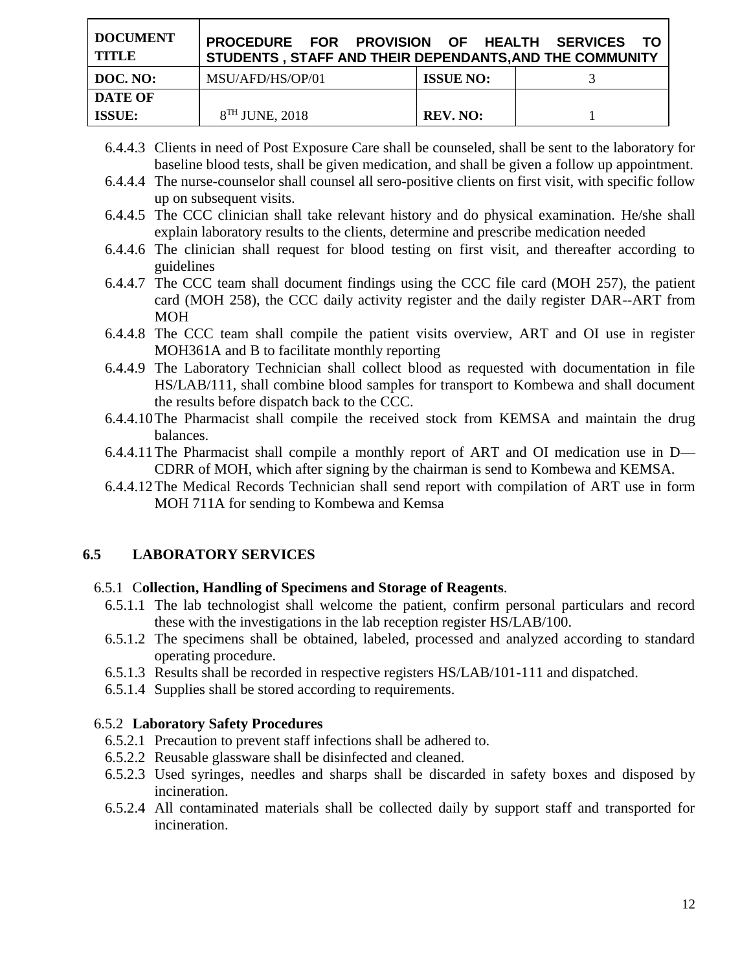| <b>DOCUMENT</b><br><b>TITLE</b> | PROCEDURE FOR PROVISION OF HEALTH SERVICES<br>STUDENTS, STAFF AND THEIR DEPENDANTS, AND THE COMMUNITY |                  | - TO |
|---------------------------------|-------------------------------------------------------------------------------------------------------|------------------|------|
| DOC. NO:                        | MSU/AFD/HS/OP/01                                                                                      | <b>ISSUE NO:</b> |      |
| <b>DATE OF</b>                  |                                                                                                       |                  |      |
| ISSUE:                          | $8TH$ JUNE, 2018                                                                                      | <b>REV. NO:</b>  |      |

- 6.4.4.3 Clients in need of Post Exposure Care shall be counseled, shall be sent to the laboratory for baseline blood tests, shall be given medication, and shall be given a follow up appointment.
- 6.4.4.4 The nurse-counselor shall counsel all sero-positive clients on first visit, with specific follow up on subsequent visits.
- 6.4.4.5 The CCC clinician shall take relevant history and do physical examination. He/she shall explain laboratory results to the clients, determine and prescribe medication needed
- 6.4.4.6 The clinician shall request for blood testing on first visit, and thereafter according to guidelines
- 6.4.4.7 The CCC team shall document findings using the CCC file card (MOH 257), the patient card (MOH 258), the CCC daily activity register and the daily register DAR--ART from MOH
- 6.4.4.8 The CCC team shall compile the patient visits overview, ART and OI use in register MOH361A and B to facilitate monthly reporting
- 6.4.4.9 The Laboratory Technician shall collect blood as requested with documentation in file HS/LAB/111, shall combine blood samples for transport to Kombewa and shall document the results before dispatch back to the CCC.
- 6.4.4.10The Pharmacist shall compile the received stock from KEMSA and maintain the drug balances.
- 6.4.4.11The Pharmacist shall compile a monthly report of ART and OI medication use in D— CDRR of MOH, which after signing by the chairman is send to Kombewa and KEMSA.
- 6.4.4.12The Medical Records Technician shall send report with compilation of ART use in form MOH 711A for sending to Kombewa and Kemsa

### **6.5 LABORATORY SERVICES**

### 6.5.1 C**ollection, Handling of Specimens and Storage of Reagents**.

- 6.5.1.1 The lab technologist shall welcome the patient, confirm personal particulars and record these with the investigations in the lab reception register HS/LAB/100.
- 6.5.1.2 The specimens shall be obtained, labeled, processed and analyzed according to standard operating procedure.
- 6.5.1.3 Results shall be recorded in respective registers HS/LAB/101-111 and dispatched.
- 6.5.1.4 Supplies shall be stored according to requirements.

#### 6.5.2 **Laboratory Safety Procedures**

- 6.5.2.1 Precaution to prevent staff infections shall be adhered to.
- 6.5.2.2 Reusable glassware shall be disinfected and cleaned.
- 6.5.2.3 Used syringes, needles and sharps shall be discarded in safety boxes and disposed by incineration.
- 6.5.2.4 All contaminated materials shall be collected daily by support staff and transported for incineration.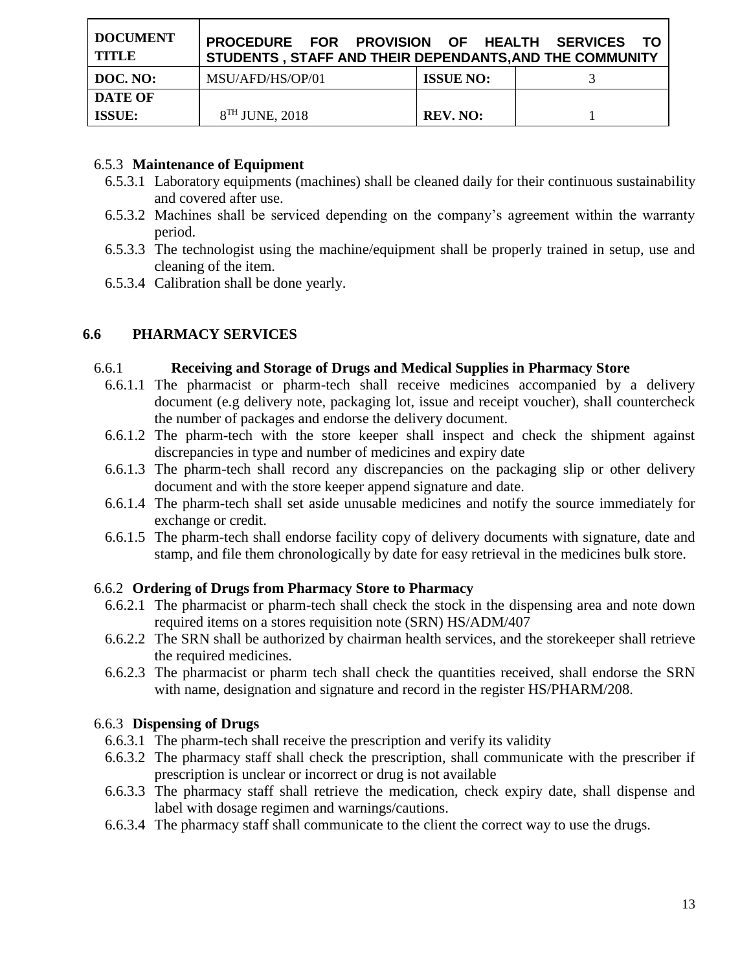| DOCUMENT<br><b>TITLE</b> | PROCEDURE FOR PROVISION OF HEALTH SERVICES<br>STUDENTS, STAFF AND THEIR DEPENDANTS, AND THE COMMUNITY |                  | - TO |
|--------------------------|-------------------------------------------------------------------------------------------------------|------------------|------|
| DOC. NO:                 | MSU/AFD/HS/OP/01                                                                                      | <b>ISSUE NO:</b> |      |
| <b>DATE OF</b>           |                                                                                                       |                  |      |
| <b>ISSUE:</b>            | $8TH$ JUNE, 2018                                                                                      | <b>REV. NO:</b>  |      |

## 6.5.3 **Maintenance of Equipment**

- 6.5.3.1 Laboratory equipments (machines) shall be cleaned daily for their continuous sustainability and covered after use.
- 6.5.3.2 Machines shall be serviced depending on the company's agreement within the warranty period.
- 6.5.3.3 The technologist using the machine/equipment shall be properly trained in setup, use and cleaning of the item.
- 6.5.3.4 Calibration shall be done yearly.

# **6.6 PHARMACY SERVICES**

## 6.6.1 **Receiving and Storage of Drugs and Medical Supplies in Pharmacy Store**

- 6.6.1.1 The pharmacist or pharm-tech shall receive medicines accompanied by a delivery document (e.g delivery note, packaging lot, issue and receipt voucher), shall countercheck the number of packages and endorse the delivery document.
- 6.6.1.2 The pharm-tech with the store keeper shall inspect and check the shipment against discrepancies in type and number of medicines and expiry date
- 6.6.1.3 The pharm-tech shall record any discrepancies on the packaging slip or other delivery document and with the store keeper append signature and date.
- 6.6.1.4 The pharm-tech shall set aside unusable medicines and notify the source immediately for exchange or credit.
- 6.6.1.5 The pharm-tech shall endorse facility copy of delivery documents with signature, date and stamp, and file them chronologically by date for easy retrieval in the medicines bulk store.

# 6.6.2 **Ordering of Drugs from Pharmacy Store to Pharmacy**

- 6.6.2.1 The pharmacist or pharm-tech shall check the stock in the dispensing area and note down required items on a stores requisition note (SRN) HS/ADM/407
- 6.6.2.2 The SRN shall be authorized by chairman health services, and the storekeeper shall retrieve the required medicines.
- 6.6.2.3 The pharmacist or pharm tech shall check the quantities received, shall endorse the SRN with name, designation and signature and record in the register HS/PHARM/208.

### 6.6.3 **Dispensing of Drugs**

- 6.6.3.1 The pharm-tech shall receive the prescription and verify its validity
- 6.6.3.2 The pharmacy staff shall check the prescription, shall communicate with the prescriber if prescription is unclear or incorrect or drug is not available
- 6.6.3.3 The pharmacy staff shall retrieve the medication, check expiry date, shall dispense and label with dosage regimen and warnings/cautions.
- 6.6.3.4 The pharmacy staff shall communicate to the client the correct way to use the drugs.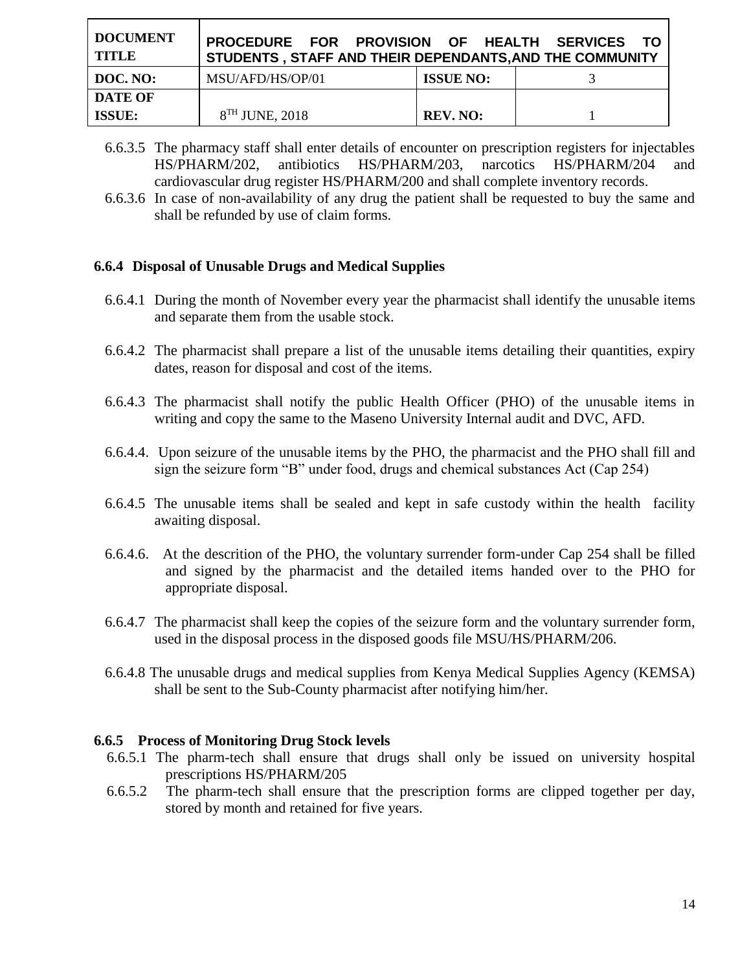| <b>DOCUMENT</b><br><b>TITLE</b> | PROCEDURE FOR PROVISION OF HEALTH SERVICES TO<br>STUDENTS, STAFF AND THEIR DEPENDANTS, AND THE COMMUNITY |                  |  |
|---------------------------------|----------------------------------------------------------------------------------------------------------|------------------|--|
| DOC. NO:                        | MSU/AFD/HS/OP/01                                                                                         | <b>ISSUE NO:</b> |  |
| <b>DATE OF</b>                  |                                                                                                          |                  |  |
| <b>ISSUE:</b>                   | 8 <sup>TH</sup> JUNE, 2018                                                                               | <b>REV. NO:</b>  |  |

- 6.6.3.5 The pharmacy staff shall enter details of encounter on prescription registers for injectables HS/PHARM/202, antibiotics HS/PHARM/203, narcotics HS/PHARM/204 and cardiovascular drug register HS/PHARM/200 and shall complete inventory records.
- 6.6.3.6 In case of non-availability of any drug the patient shall be requested to buy the same and shall be refunded by use of claim forms.

### **6.6.4 Disposal of Unusable Drugs and Medical Supplies**

- 6.6.4.1 During the month of November every year the pharmacist shall identify the unusable items and separate them from the usable stock.
- 6.6.4.2 The pharmacist shall prepare a list of the unusable items detailing their quantities, expiry dates, reason for disposal and cost of the items.
- 6.6.4.3 The pharmacist shall notify the public Health Officer (PHO) of the unusable items in writing and copy the same to the Maseno University Internal audit and DVC, AFD.
- 6.6.4.4. Upon seizure of the unusable items by the PHO, the pharmacist and the PHO shall fill and sign the seizure form "B" under food, drugs and chemical substances Act (Cap 254)
- 6.6.4.5 The unusable items shall be sealed and kept in safe custody within the health facility awaiting disposal.
- 6.6.4.6. At the descrition of the PHO, the voluntary surrender form-under Cap 254 shall be filled and signed by the pharmacist and the detailed items handed over to the PHO for appropriate disposal.
- 6.6.4.7 The pharmacist shall keep the copies of the seizure form and the voluntary surrender form, used in the disposal process in the disposed goods file MSU/HS/PHARM/206.
- 6.6.4.8 The unusable drugs and medical supplies from Kenya Medical Supplies Agency (KEMSA) shall be sent to the Sub-County pharmacist after notifying him/her.

#### **6.6.5 Process of Monitoring Drug Stock levels**

- 6.6.5.1 The pharm-tech shall ensure that drugs shall only be issued on university hospital prescriptions HS/PHARM/205
- 6.6.5.2 The pharm-tech shall ensure that the prescription forms are clipped together per day, stored by month and retained for five years.